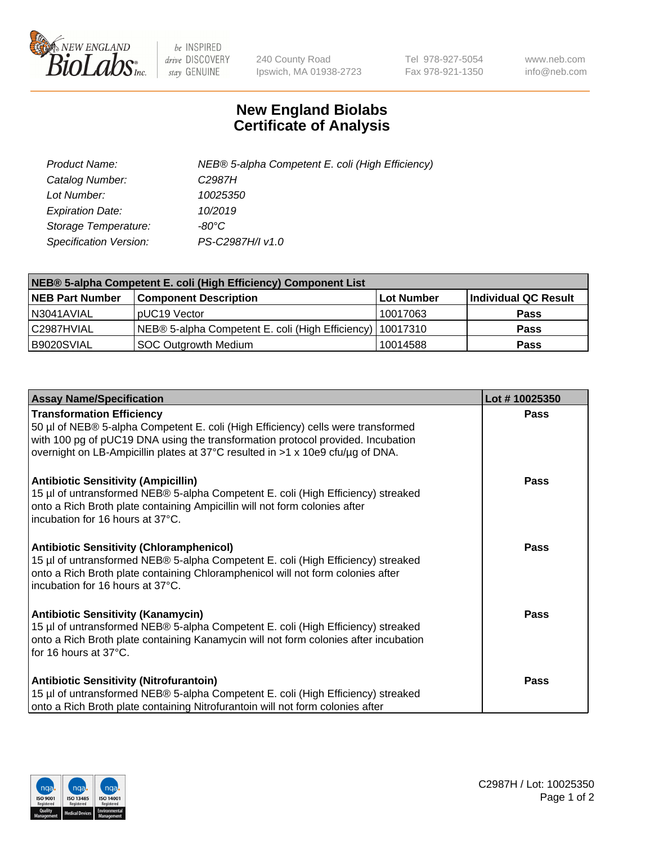

 $be$  INSPIRED drive DISCOVERY stay GENUINE

240 County Road Ipswich, MA 01938-2723 Tel 978-927-5054 Fax 978-921-1350 www.neb.com info@neb.com

## **New England Biolabs Certificate of Analysis**

| Product Name:           | NEB® 5-alpha Competent E. coli (High Efficiency) |
|-------------------------|--------------------------------------------------|
| Catalog Number:         | C <sub>2987</sub> H                              |
| Lot Number:             | 10025350                                         |
| <b>Expiration Date:</b> | 10/2019                                          |
| Storage Temperature:    | -80°C                                            |
| Specification Version:  | PS-C2987H/I v1.0                                 |

| NEB® 5-alpha Competent E. coli (High Efficiency) Component List |                                                             |            |                      |  |
|-----------------------------------------------------------------|-------------------------------------------------------------|------------|----------------------|--|
| <b>NEB Part Number</b>                                          | <b>Component Description</b>                                | Lot Number | Individual QC Result |  |
| N3041AVIAL                                                      | pUC19 Vector                                                | 10017063   | <b>Pass</b>          |  |
| C2987HVIAL                                                      | NEB® 5-alpha Competent E. coli (High Efficiency)   10017310 |            | <b>Pass</b>          |  |
| B9020SVIAL                                                      | <b>SOC Outgrowth Medium</b>                                 | 10014588   | <b>Pass</b>          |  |

| <b>Assay Name/Specification</b>                                                                                                                                                                                                                                                           | Lot #10025350 |
|-------------------------------------------------------------------------------------------------------------------------------------------------------------------------------------------------------------------------------------------------------------------------------------------|---------------|
| <b>Transformation Efficiency</b><br>50 µl of NEB® 5-alpha Competent E. coli (High Efficiency) cells were transformed<br>with 100 pg of pUC19 DNA using the transformation protocol provided. Incubation<br>overnight on LB-Ampicillin plates at 37°C resulted in >1 x 10e9 cfu/µg of DNA. | <b>Pass</b>   |
| <b>Antibiotic Sensitivity (Ampicillin)</b><br>15 µl of untransformed NEB® 5-alpha Competent E. coli (High Efficiency) streaked<br>onto a Rich Broth plate containing Ampicillin will not form colonies after<br>incubation for 16 hours at 37°C.                                          | Pass          |
| <b>Antibiotic Sensitivity (Chloramphenicol)</b><br>15 µl of untransformed NEB® 5-alpha Competent E. coli (High Efficiency) streaked<br>onto a Rich Broth plate containing Chloramphenicol will not form colonies after<br>incubation for 16 hours at 37°C.                                | Pass          |
| <b>Antibiotic Sensitivity (Kanamycin)</b><br>15 µl of untransformed NEB® 5-alpha Competent E. coli (High Efficiency) streaked<br>onto a Rich Broth plate containing Kanamycin will not form colonies after incubation<br>for 16 hours at 37°C.                                            | Pass          |
| <b>Antibiotic Sensitivity (Nitrofurantoin)</b><br>15 µl of untransformed NEB® 5-alpha Competent E. coli (High Efficiency) streaked<br>onto a Rich Broth plate containing Nitrofurantoin will not form colonies after                                                                      | <b>Pass</b>   |